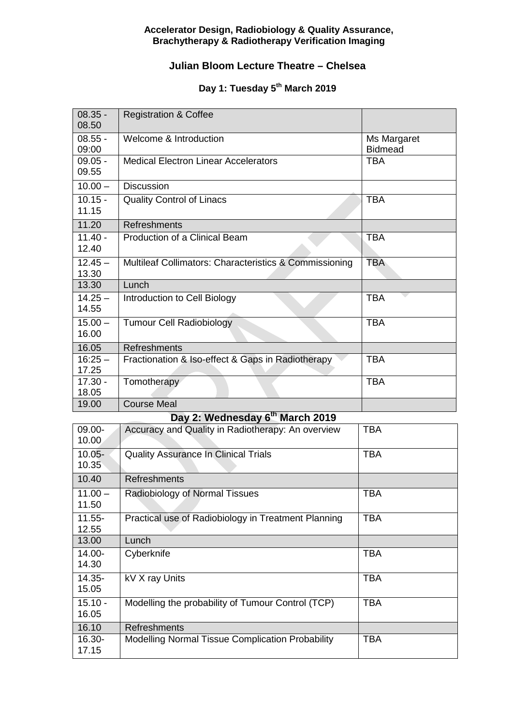### **Accelerator Design, Radiobiology & Quality Assurance, Brachytherapy & Radiotherapy Verification Imaging**

### **Julian Bloom Lecture Theatre – Chelsea**

## Day 1: Tuesday 5<sup>th</sup> March 2019

| $08.35 -$<br>08.50 | <b>Registration &amp; Coffee</b>                       |                               |
|--------------------|--------------------------------------------------------|-------------------------------|
| $08.55 -$<br>09:00 | Welcome & Introduction                                 | Ms Margaret<br><b>Bidmead</b> |
| $09.05 -$<br>09.55 | <b>Medical Electron Linear Accelerators</b>            | <b>TBA</b>                    |
| $10.00 -$          | <b>Discussion</b>                                      |                               |
| $10.15 -$<br>11.15 | <b>Quality Control of Linacs</b>                       | <b>TBA</b>                    |
| 11.20              | <b>Refreshments</b>                                    |                               |
| $11.40 -$<br>12.40 | Production of a Clinical Beam                          | <b>TBA</b>                    |
| $12.45 -$<br>13.30 | Multileaf Collimators: Characteristics & Commissioning | <b>TBA</b>                    |
| 13.30              | Lunch                                                  |                               |
| $14.25 -$<br>14.55 | Introduction to Cell Biology                           | <b>TBA</b>                    |
| $15.00 -$<br>16.00 | <b>Tumour Cell Radiobiology</b>                        | <b>TBA</b>                    |
| 16.05              | Refreshments                                           |                               |
| $16:25 -$<br>17.25 | Fractionation & Iso-effect & Gaps in Radiotherapy      | <b>TBA</b>                    |
| $17.30 -$<br>18.05 | Tomotherapy                                            | <b>TBA</b>                    |
| 19.00              | <b>Course Meal</b>                                     |                               |
|                    | Day 2: Wednesday 6 <sup>th</sup> March 2019            |                               |
| 09.00-<br>10.00    | Accuracy and Quality in Radiotherapy: An overview      | <b>TBA</b>                    |
| $10.05 -$<br>10.35 | <b>Quality Assurance In Clinical Trials</b>            | <b>TBA</b>                    |
| 10.40              | <b>Refreshments</b>                                    |                               |
| 11.00<br>11.50     | Radiobiology of Normal Tissues                         | <b>TBA</b>                    |
| $11.55 -$<br>12.55 | Practical use of Radiobiology in Treatment Planning    | <b>TBA</b>                    |
| 13.00              | Lunch                                                  |                               |
| 14.00-<br>14.30    | Cyberknife                                             | <b>TBA</b>                    |
| $14.35 -$<br>15.05 | kV X ray Units                                         | <b>TBA</b>                    |
| $15.10 -$<br>16.05 | Modelling the probability of Tumour Control (TCP)      | <b>TBA</b>                    |
| 16.10              | <b>Refreshments</b>                                    |                               |
| 16.30-<br>17.15    | Modelling Normal Tissue Complication Probability       | <b>TBA</b>                    |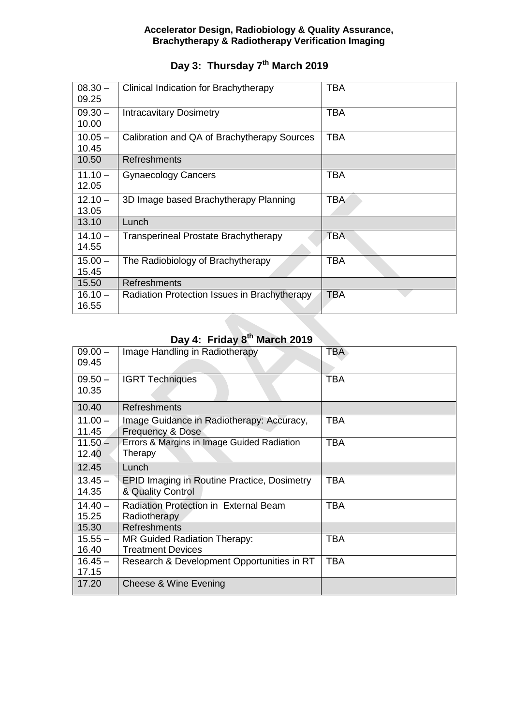#### **Accelerator Design, Radiobiology & Quality Assurance, Brachytherapy & Radiotherapy Verification Imaging**

## **Day 3: Thursday 7th March 2019**

| $08.30 -$<br>09.25 | Clinical Indication for Brachytherapy        | <b>TBA</b> |
|--------------------|----------------------------------------------|------------|
| $09.30 -$<br>10.00 | <b>Intracavitary Dosimetry</b>               | <b>TBA</b> |
| $10.05 -$<br>10.45 | Calibration and QA of Brachytherapy Sources  | <b>TBA</b> |
| 10.50              | <b>Refreshments</b>                          |            |
| $11.10 -$<br>12.05 | <b>Gynaecology Cancers</b>                   | <b>TBA</b> |
| $12.10 -$<br>13.05 | 3D Image based Brachytherapy Planning        | <b>TBA</b> |
| 13.10              | Lunch                                        |            |
| $14.10 -$<br>14.55 | <b>Transperineal Prostate Brachytherapy</b>  | <b>TBA</b> |
| $15.00 -$<br>15.45 | The Radiobiology of Brachytherapy            | <b>TBA</b> |
| 15.50              | Refreshments                                 |            |
| $16.10 -$<br>16.55 | Radiation Protection Issues in Brachytherapy | TBA        |

# **Day 4: Friday 8th March 2019**

| $09.00 -$ | Image Handling in Radiotherapy                     | <b>TBA</b> |
|-----------|----------------------------------------------------|------------|
| 09.45     |                                                    |            |
| $09.50 -$ | <b>IGRT Techniques</b>                             | <b>TBA</b> |
| 10.35     |                                                    |            |
| 10.40     | <b>Refreshments</b>                                |            |
| $11.00 -$ | Image Guidance in Radiotherapy: Accuracy,          | <b>TBA</b> |
| 11.45     | Frequency & Dose                                   |            |
| $11.50 -$ | Errors & Margins in Image Guided Radiation         | <b>TBA</b> |
| 12.40     | Therapy                                            |            |
| 12.45     | Lunch                                              |            |
| $13.45 -$ | <b>EPID Imaging in Routine Practice, Dosimetry</b> | TBA        |
| 14.35     | & Quality Control                                  |            |
| $14.40 -$ | Radiation Protection in External Beam              | <b>TBA</b> |
| 15.25     | Radiotherapy                                       |            |
| 15.30     | <b>Refreshments</b>                                |            |
| $15.55 -$ | MR Guided Radiation Therapy:                       | <b>TBA</b> |
| 16.40     | <b>Treatment Devices</b>                           |            |
| $16.45 -$ | Research & Development Opportunities in RT         | <b>TBA</b> |
| 17.15     |                                                    |            |
| 17.20     | Cheese & Wine Evening                              |            |